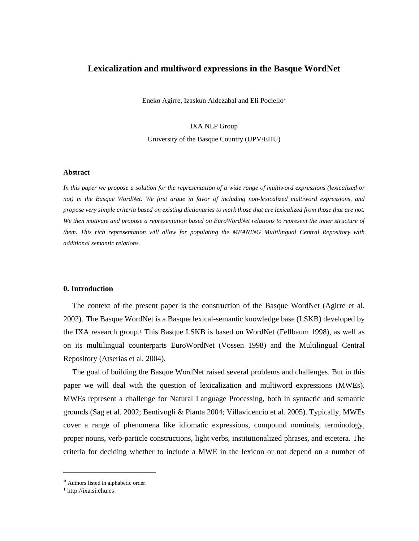## **Lexicalization and multiword expressions in the Basque WordNet**

Eneko Agirre, Izaskun Aldezabal and Eli Pociello

## IXA NLP Group University of the Basque Country (UPV/EHU)

#### **Abstract**

*In this paper we propose a solution for the representation of a wide range of multiword expressions (lexicalized or not) in the Basque WordNet. We first argue in favor of including non-lexicalized multiword expressions, and propose very simple criteria based on existing dictionaries to mark those that are lexicalized from those that are not. We then motivate and propose a representation based on EuroWordNet relations to represent the inner structure of them. This rich representation will allow for populating the MEANING Multilingual Central Repository with additional semantic relations.* 

#### **0. Introduction**

The context of the present paper is the construction of the Basque WordNet (Agirre et al. 2002). The Basque WordNet is a Basque lexical-semantic knowledge base (LSKB) developed by the IXA research group.1 This Basque LSKB is based on WordNet (Fellbaum 1998), as well as on its multilingual counterparts EuroWordNet (Vossen 1998) and the Multilingual Central Repository (Atserias et al. 2004).

The goal of building the Basque WordNet raised several problems and challenges. But in this paper we will deal with the question of lexicalization and multiword expressions (MWEs). MWEs represent a challenge for Natural Language Processing, both in syntactic and semantic grounds (Sag et al. 2002; Bentivogli & Pianta 2004; Villavicencio et al. 2005). Typically, MWEs cover a range of phenomena like idiomatic expressions, compound nominals, terminology, proper nouns, verb-particle constructions, light verbs, institutionalized phrases, and etcetera. The criteria for deciding whether to include a MWE in the lexicon or not depend on a number of

 $\overline{a}$ 

Authors listed in alphabetic order.

<sup>1</sup> http://ixa.si.ehu.es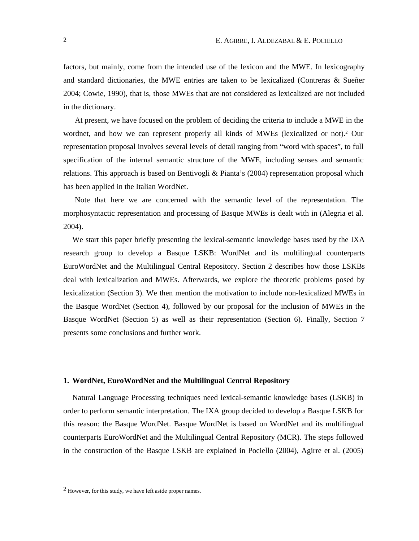factors, but mainly, come from the intended use of the lexicon and the MWE. In lexicography and standard dictionaries, the MWE entries are taken to be lexicalized (Contreras & Sueñer 2004; Cowie, 1990), that is, those MWEs that are not considered as lexicalized are not included in the dictionary.

At present, we have focused on the problem of deciding the criteria to include a MWE in the wordnet, and how we can represent properly all kinds of MWEs (lexicalized or not).2 Our representation proposal involves several levels of detail ranging from "word with spaces", to full specification of the internal semantic structure of the MWE, including senses and semantic relations. This approach is based on Bentivogli & Pianta's (2004) representation proposal which has been applied in the Italian WordNet.

Note that here we are concerned with the semantic level of the representation. The morphosyntactic representation and processing of Basque MWEs is dealt with in (Alegria et al. 2004).

We start this paper briefly presenting the lexical-semantic knowledge bases used by the IXA research group to develop a Basque LSKB: WordNet and its multilingual counterparts EuroWordNet and the Multilingual Central Repository. Section 2 describes how those LSKBs deal with lexicalization and MWEs. Afterwards, we explore the theoretic problems posed by lexicalization (Section 3). We then mention the motivation to include non-lexicalized MWEs in the Basque WordNet (Section 4), followed by our proposal for the inclusion of MWEs in the Basque WordNet (Section 5) as well as their representation (Section 6). Finally, Section 7 presents some conclusions and further work.

#### **1. WordNet, EuroWordNet and the Multilingual Central Repository**

Natural Language Processing techniques need lexical-semantic knowledge bases (LSKB) in order to perform semantic interpretation. The IXA group decided to develop a Basque LSKB for this reason: the Basque WordNet. Basque WordNet is based on WordNet and its multilingual counterparts EuroWordNet and the Multilingual Central Repository (MCR). The steps followed in the construction of the Basque LSKB are explained in Pociello (2004), Agirre et al. (2005)

 $\overline{a}$ 

<sup>2</sup> However, for this study, we have left aside proper names.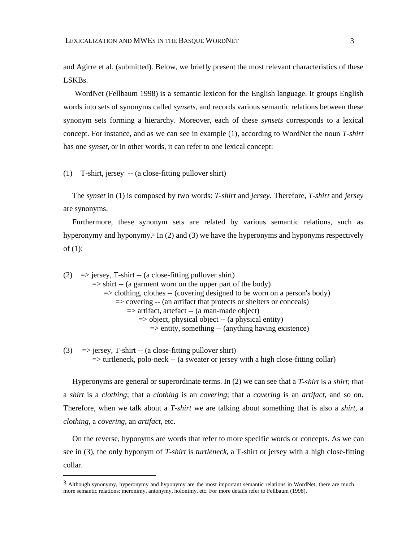and Agirre et al. (submitted). Below, we briefly present the most relevant characteristics of these LSKBs.

WordNet (Fellbaum 1998) is a semantic lexicon for the English language. It groups English words into sets of synonyms called *synsets*, and records various semantic relations between these synonym sets forming a hierarchy. Moreover, each of these *synsets* corresponds to a lexical concept. For instance, and as we can see in example (1), according to WordNet the noun *T-shirt* has one *synset*, or in other words, it can refer to one lexical concept:

(1) T-shirt, jersey -- (a close-fitting pullover shirt)

 $\overline{a}$ 

The *synset* in (1) is composed by two words: *T-shirt* and *jersey.* Therefore, *T-shirt* and *jersey*  are synonyms.

Furthermore, these synonym sets are related by various semantic relations, such as hyperonymy and hyponymy.3 In (2) and (3) we have the hyperonyms and hyponyms respectively of (1):

(2)  $\Rightarrow$  jersey, T-shirt -- (a close-fitting pullover shirt)  $\Rightarrow$  shirt -- (a garment worn on the upper part of the body)  $\Rightarrow$  clothing, clothes  $-$  (covering designed to be worn on a person's body)  $\Rightarrow$  covering -- (an artifact that protects or shelters or conceals) => artifact, artefact -- (a man-made object)  $\Rightarrow$  object, physical object -- (a physical entity)  $\Rightarrow$  entity, something -- (anything having existence)

(3)  $\Rightarrow$  jersey, T-shirt -- (a close-fitting pullover shirt) => turtleneck, polo-neck -- (a sweater or jersey with a high close-fitting collar)

Hyperonyms are general or superordinate terms. In (2) we can see that a *T-shirt* is a *shirt*; that a *shirt* is a *clothing*; that a *clothing* is an *covering*; that a *covering* is an *artifact*, and so on. Therefore, when we talk about a *T-shirt* we are talking about something that is also a *shirt,* a *clothing,* a *covering,* an *artifact,* etc.

On the reverse, hyponyms are words that refer to more specific words or concepts. As we can see in (3), the only hyponym of *T-shirt* is *turtleneck*, a T-shirt or jersey with a high close-fitting collar.

<sup>&</sup>lt;sup>3</sup> Although synonymy, hyperonymy and hyponymy are the most important semantic relations in WordNet, there are much more semantic relations: meronimy, antonymy, holonimy, etc. For more details refer to Fellbaum (1998).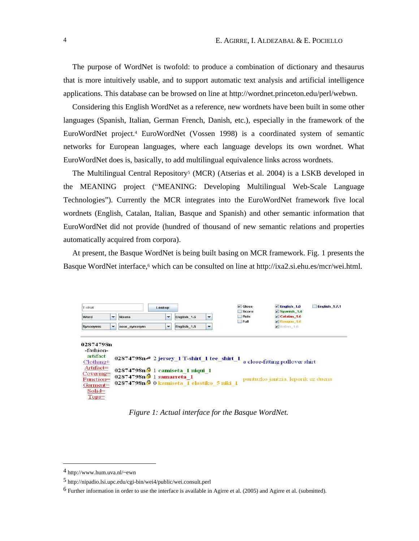The purpose of WordNet is twofold: to produce a combination of dictionary and thesaurus that is more intuitively usable, and to support automatic text analysis and artificial intelligence applications. This database can be browsed on line at http://wordnet.princeton.edu/perl/webwn.

Considering this English WordNet as a reference, new wordnets have been built in some other languages (Spanish, Italian, German French, Danish, etc.), especially in the framework of the EuroWordNet project.4 EuroWordNet (Vossen 1998) is a coordinated system of semantic networks for European languages, where each language develops its own wordnet. What EuroWordNet does is, basically, to add multilingual equivalence links across wordnets.

The Multilingual Central Repository<sup>5</sup> (MCR) (Atserias et al. 2004) is a LSKB developed in the MEANING project ("MEANING: Developing Multilingual Web-Scale Language Technologies"). Currently the MCR integrates into the EuroWordNet framework five local wordnets (English, Catalan, Italian, Basque and Spanish) and other semantic information that EuroWordNet did not provide (hundred of thousand of new semantic relations and properties automatically acquired from corpora).

At present, the Basque WordNet is being built basing on MCR framework. Fig. 1 presents the Basque WordNet interface,<sup>6</sup> which can be consulted on line at http://ixa2.si.ehu.es/mcr/wei.html.

| T-shirt<br><b>Lookup</b>                                                                                                        |                          |                                                                                                                                                                  |                          |                                         |                          | $\triangleright$ Gloss<br>Score | $V$ English 1.6<br>$\nu$ Spanish 1.6                                 | <b>English_1.7.1</b> |
|---------------------------------------------------------------------------------------------------------------------------------|--------------------------|------------------------------------------------------------------------------------------------------------------------------------------------------------------|--------------------------|-----------------------------------------|--------------------------|---------------------------------|----------------------------------------------------------------------|----------------------|
| Word                                                                                                                            | $\overline{\phantom{a}}$ | <b>Nouns</b>                                                                                                                                                     | $\overline{\phantom{a}}$ | English_1.6<br>$\overline{\phantom{a}}$ |                          | Rels<br>Full                    | $\nu$ Catalan 1.6<br>$\nu$ Basque 1.6                                |                      |
| <b>Synonyms</b>                                                                                                                 | $\overline{\phantom{a}}$ | near synonym                                                                                                                                                     | $\overline{\phantom{a}}$ | English 1.6                             | $\overline{\phantom{a}}$ |                                 | $\triangleright$ Italian 1.6                                         |                      |
| 02874798n<br>-fashion-<br>artifact<br>$Clothing+$<br>Artifact=<br>$Covering =$<br>Function=<br>Garment=<br>$Solid =$<br>$Tops=$ |                          | 02874798n 2 jersey 1 T-shirt 1 tee shirt 1<br>02874798n 1 camiseta 1 niqui 1<br>02874798n <sup>9</sup> 1 samarreta 1<br>02874798n 0 kamiseta 1 elastiko 5 niki 1 |                          |                                         |                          |                                 | a close-fitting pullover shirt<br>puntuzko jantzia, leporik ez duena |                      |

*Figure 1: Actual interface for the Basque WordNet.*

 $\overline{a}$ 

<sup>4</sup> http://www.hum.uva.nl/~ewn

<sup>5</sup> http://nipadio.lsi.upc.edu/cgi-bin/wei4/public/wei.consult.perl

 $6$  Further information in order to use the interface is available in Agirre et al. (2005) and Agirre et al. (submitted).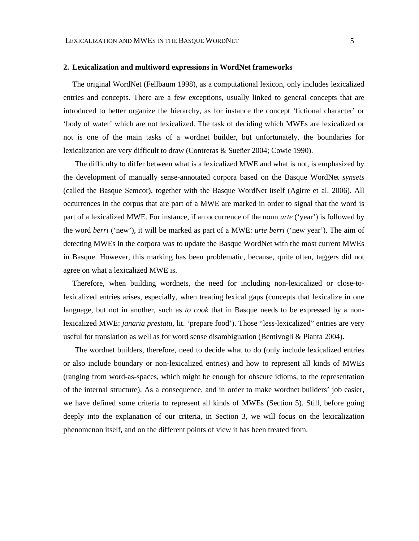#### **2. Lexicalization and multiword expressions in WordNet frameworks**

The original WordNet (Fellbaum 1998), as a computational lexicon, only includes lexicalized entries and concepts. There are a few exceptions, usually linked to general concepts that are introduced to better organize the hierarchy, as for instance the concept 'fictional character' or 'body of water' which are not lexicalized. The task of deciding which MWEs are lexicalized or not is one of the main tasks of a wordnet builder, but unfortunately, the boundaries for lexicalization are very difficult to draw (Contreras & Sueñer 2004; Cowie 1990).

The difficulty to differ between what is a lexicalized MWE and what is not, is emphasized by the development of manually sense-annotated corpora based on the Basque WordNet *synsets* (called the Basque Semcor), together with the Basque WordNet itself (Agirre et al. 2006). All occurrences in the corpus that are part of a MWE are marked in order to signal that the word is part of a lexicalized MWE. For instance, if an occurrence of the noun *urte* ('year') is followed by the word *berri* ('new'), it will be marked as part of a MWE: *urte berri* ('new year'). The aim of detecting MWEs in the corpora was to update the Basque WordNet with the most current MWEs in Basque. However, this marking has been problematic, because, quite often, taggers did not agree on what a lexicalized MWE is.

Therefore, when building wordnets, the need for including non-lexicalized or close-tolexicalized entries arises, especially, when treating lexical gaps (concepts that lexicalize in one language, but not in another, such as *to cook* that in Basque needs to be expressed by a nonlexicalized MWE: *janaria prestatu,* lit. 'prepare food'). Those "less-lexicalized" entries are very useful for translation as well as for word sense disambiguation (Bentivogli & Pianta 2004).

The wordnet builders, therefore, need to decide what to do (only include lexicalized entries or also include boundary or non-lexicalized entries) and how to represent all kinds of MWEs (ranging from word-as-spaces, which might be enough for obscure idioms, to the representation of the internal structure). As a consequence, and in order to make wordnet builders' job easier, we have defined some criteria to represent all kinds of MWEs (Section 5). Still, before going deeply into the explanation of our criteria, in Section 3, we will focus on the lexicalization phenomenon itself, and on the different points of view it has been treated from.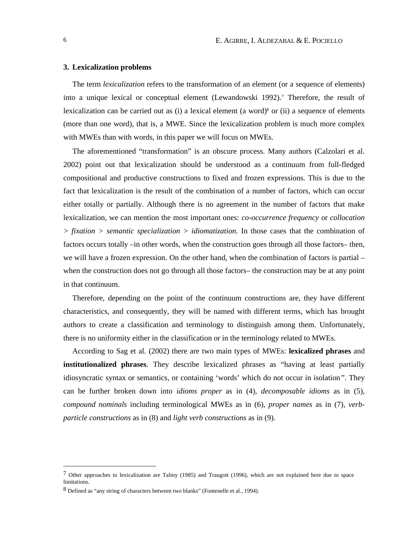## **3. Lexicalization problems**

The term *lexicalization* refers to the transformation of an element (or a sequence of elements) into a unique lexical or conceptual element (Lewandowski 1992).7 Therefore, the result of lexicalization can be carried out as (i) a lexical element (a word)8 or (ii) a sequence of elements (more than one word), that is, a MWE. Since the lexicalization problem is much more complex with MWEs than with words, in this paper we will focus on MWEs.

The aforementioned "transformation" is an obscure process. Many authors (Calzolari et al. 2002) point out that lexicalization should be understood as a continuum from full-fledged compositional and productive constructions to fixed and frozen expressions*.* This is due to the fact that lexicalization is the result of the combination of a number of factors, which can occur either totally or partially. Although there is no agreement in the number of factors that make lexicalization, we can mention the most important ones: *co-occurrence frequency* or *collocation > fixation > semantic specialization > idiomatization.* In those cases that the combination of factors occurs totally –in other words, when the construction goes through all those factors– then, we will have a frozen expression. On the other hand, when the combination of factors is partial – when the construction does not go through all those factors– the construction may be at any point in that continuum.

Therefore, depending on the point of the continuum constructions are, they have different characteristics, and consequently, they will be named with different terms, which has brought authors to create a classification and terminology to distinguish among them. Unfortunately, there is no uniformity either in the classification or in the terminology related to MWEs.

According to Sag et al. (2002) there are two main types of MWEs: **lexicalized phrases** and **institutionalized phrases**. They describe lexicalized phrases as "having at least partially idiosyncratic syntax or semantics, or containing 'words' which do not occur in isolation*"*. They can be further broken down into *idioms proper* as in (4), *decomposable idioms* as in (5), *compound nominals* including terminological MWEs as in (6), *proper names* as in (7), *verbparticle constructions* as in (8) and *light verb constructions* as in (9).

<sup>7</sup> Other approaches to lexicalization are Talmy (1985) and Traugott (1996), which are not explained here due to space limitations.

<sup>8</sup> Defined as "any string of characters between two blanks" (Fontenelle et al., 1994).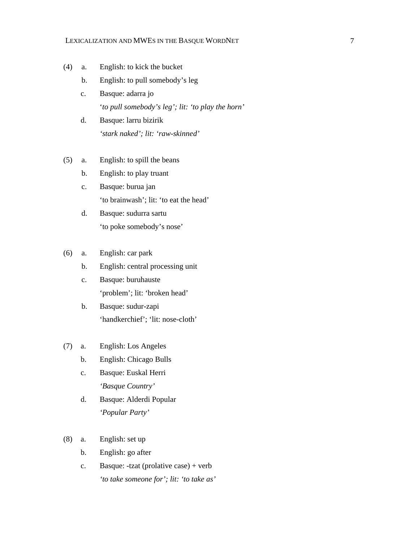## LEXICALIZATION AND MWES IN THE BASQUE WORDNET 7

- (4) a. English: to kick the bucket
	- b. English: to pull somebody's leg
	- c. Basque: adarra jo '*to pull somebody's leg'; lit: 'to play the horn'*
	- d. Basque: larru bizirik *'stark naked'; lit: 'raw-skinned'*
- (5) a. English: to spill the beans
	- b. English: to play truant
	- c. Basque: burua jan 'to brainwash'; lit: 'to eat the head'
	- d. Basque: sudurra sartu 'to poke somebody's nose'

## (6) a. English: car park

- b. English: central processing unit
- c. Basque: buruhauste 'problem'; lit: 'broken head'
- b. Basque: sudur-zapi 'handkerchief'; 'lit: nose-cloth'
- (7) a. English: Los Angeles
	- b. English: Chicago Bulls
	- c. Basque: Euskal Herri *'Basque Country'*
	- d. Basque: Alderdi Popular *'Popular Party'*
- (8) a. English: set up
	- b. English: go after
	- c. Basque: -tzat (prolative case) + verb *'to take someone for'; lit: 'to take as'*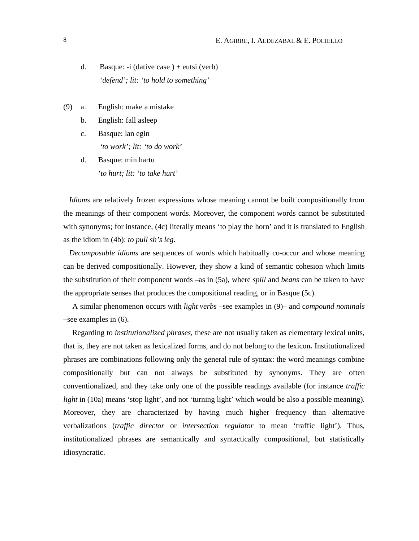- d. Basque: -i (dative case ) + eutsi (verb) *'defend'; lit: 'to hold to something'*
- (9) a. English: make a mistake
	- b. English: fall asleep
	- c. Basque: lan egin *'to work'; lit: 'to do work'*
	- d. Basque: min hartu *'to hurt; lit: 'to take hurt'*

*Idioms* are relatively frozen expressions whose meaning cannot be built compositionally from the meanings of their component words. Moreover, the component words cannot be substituted with synonyms; for instance, (4c) literally means 'to play the horn' and it is translated to English as the idiom in (4b): *to pull sb's leg*.

*Decomposable idioms* are sequences of words which habitually co-occur and whose meaning can be derived compositionally. However, they show a kind of semantic cohesion which limits the substitution of their component words –as in (5a), where *spill* and *beans* can be taken to have the appropriate senses that produces the compositional reading, or in Basque (5c).

A similar phenomenon occurs with *light verbs* –see examples in (9)– and c*ompound nominals* –see examples in (6).

Regarding to *institutionalized phrases*, these are not usually taken as elementary lexical units, that is, they are not taken as lexicalized forms, and do not belong to the lexicon*.* Institutionalized phrases are combinations following only the general rule of syntax: the word meanings combine compositionally but can not always be substituted by synonyms. They are often conventionalized, and they take only one of the possible readings available (for instance *traffic light* in (10a) means 'stop light', and not 'turning light' which would be also a possible meaning). Moreover, they are characterized by having much higher frequency than alternative verbalizations (*traffic director* or *intersection regulator* to mean 'traffic light'). Thus, institutionalized phrases are semantically and syntactically compositional, but statistically idiosyncratic.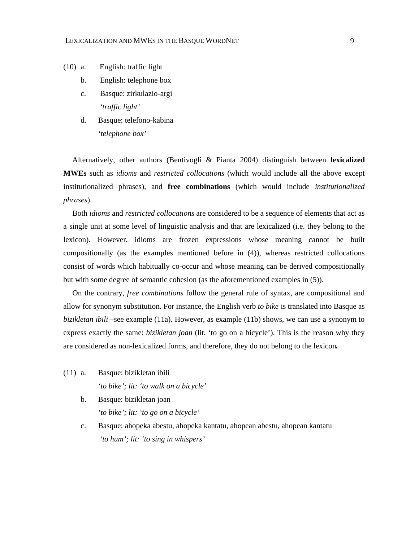- (10) a. English: traffic light
	- b. English: telephone box
	- c. Basque: zirkulazio-argi *'traffic light'*
	- d. Basque: telefono-kabina *'telephone box'*

Alternatively, other authors (Bentivogli & Pianta 2004) distinguish between **lexicalized MWEs** such as *idioms* and *restricted collocations* (which would include all the above except institutionalized phrases), and **free combinations** (which would include *institutionalized phrases*).

Both *idioms* and *restricted collocations* are considered to be a sequence of elements that act as a single unit at some level of linguistic analysis and that are lexicalized (i.e. they belong to the lexicon). However, idioms are frozen expressions whose meaning cannot be built compositionally (as the examples mentioned before in (4)), whereas restricted collocations consist of words which habitually co-occur and whose meaning can be derived compositionally but with some degree of semantic cohesion (as the aforementioned examples in (5)).

On the contrary, *free combinations* follow the general rule of syntax, are compositional and allow for synonym substitution. For instance, the English verb *to bike* is translated into Basque as *bizikletan ibili –*see example (11a). However, as example (11b) shows, we can use a synonym to express exactly the same: *bizikletan joan* (lit. 'to go on a bicycle'). This is the reason why they are considered as non-lexicalized forms, and therefore, they do not belong to the lexicon*.*

- (11) a. Basque: bizikletan ibili *'to bike'; lit: 'to walk on a bicycle'*
	- b. Basque: bizikletan joan *'to bike'; lit: 'to go on a bicycle'*
	- c. Basque: ahopeka abestu, ahopeka kantatu, ahopean abestu, ahopean kantatu *'to hum'; lit: 'to sing in whispers'*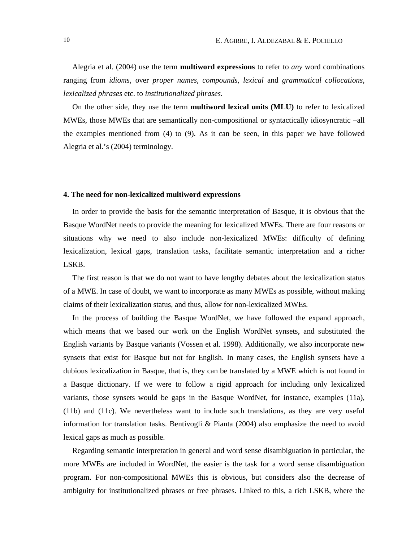Alegria et al. (2004) use the term **multiword expressions** to refer to *any* word combinations ranging from *idioms*, over *proper names*, *compounds*, *lexical* and *grammatical collocations*, *lexicalized phrases* etc. to *institutionalized phrases*.

On the other side, they use the term **multiword lexical units (MLU)** to refer to lexicalized MWEs, those MWEs that are semantically non-compositional or syntactically idiosyncratic –all the examples mentioned from (4) to (9). As it can be seen, in this paper we have followed Alegria et al.'s (2004) terminology.

#### **4. The need for non-lexicalized multiword expressions**

In order to provide the basis for the semantic interpretation of Basque, it is obvious that the Basque WordNet needs to provide the meaning for lexicalized MWEs. There are four reasons or situations why we need to also include non-lexicalized MWEs: difficulty of defining lexicalization, lexical gaps, translation tasks, facilitate semantic interpretation and a richer LSKB.

The first reason is that we do not want to have lengthy debates about the lexicalization status of a MWE. In case of doubt, we want to incorporate as many MWEs as possible, without making claims of their lexicalization status, and thus, allow for non-lexicalized MWEs.

In the process of building the Basque WordNet, we have followed the expand approach, which means that we based our work on the English WordNet synsets, and substituted the English variants by Basque variants (Vossen et al. 1998). Additionally, we also incorporate new synsets that exist for Basque but not for English. In many cases, the English synsets have a dubious lexicalization in Basque, that is, they can be translated by a MWE which is not found in a Basque dictionary. If we were to follow a rigid approach for including only lexicalized variants, those synsets would be gaps in the Basque WordNet, for instance, examples (11a), (11b) and (11c). We nevertheless want to include such translations, as they are very useful information for translation tasks. Bentivogli & Pianta (2004) also emphasize the need to avoid lexical gaps as much as possible.

Regarding semantic interpretation in general and word sense disambiguation in particular, the more MWEs are included in WordNet, the easier is the task for a word sense disambiguation program. For non-compositional MWEs this is obvious, but considers also the decrease of ambiguity for institutionalized phrases or free phrases. Linked to this, a rich LSKB, where the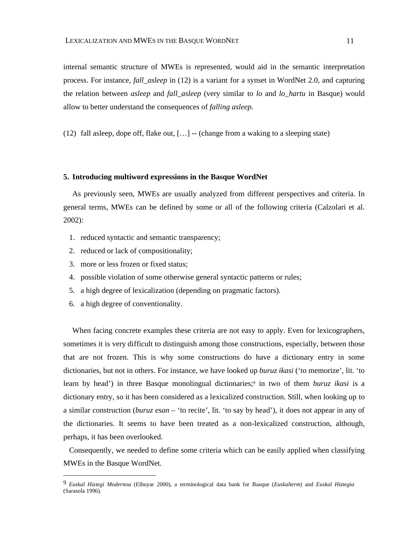internal semantic structure of MWEs is represented, would aid in the semantic interpretation process. For instance, *fall\_asleep* in (12) is a variant for a synset in WordNet 2.0, and capturing the relation between *asleep* and *fall\_asleep* (very similar to *lo* and *lo\_hartu* in Basque) would allow to better understand the consequences of *falling asleep*.

(12) fall asleep, dope off, flake out,  $[\ldots]$  -- (change from a waking to a sleeping state)

#### **5. Introducing multiword expressions in the Basque WordNet**

As previously seen, MWEs are usually analyzed from different perspectives and criteria. In general terms, MWEs can be defined by some or all of the following criteria (Calzolari et al. 2002):

- 1. reduced syntactic and semantic transparency;
- 2. reduced or lack of compositionality;
- 3. more or less frozen or fixed status;
- 4. possible violation of some otherwise general syntactic patterns or rules;
- 5. a high degree of lexicalization (depending on pragmatic factors).
- 6. a high degree of conventionality.

 $\overline{a}$ 

When facing concrete examples these criteria are not easy to apply. Even for lexicographers, sometimes it is very difficult to distinguish among those constructions, especially, between those that are not frozen. This is why some constructions do have a dictionary entry in some dictionaries, but not in others. For instance, we have looked up *buruz ikasi* ('to memorize', lit. 'to learn by head') in three Basque monolingual dictionaries;<sup>9</sup> in two of them *buruz ikasi* is a dictionary entry, so it has been considered as a lexicalized construction. Still, when looking up to a similar construction (*buruz esan –* 'to recite', lit. 'to say by head'), it does not appear in any of the dictionaries. It seems to have been treated as a non-lexicalized construction, although, perhaps, it has been overlooked.

Consequently, we needed to define some criteria which can be easily applied when classifying MWEs in the Basque WordNet.

<sup>9</sup> *Euskal Hiztegi Modernoa* (Elhuyar 2000), a terminological data bank for Basque (*Euskalterm*) and *Euskal Hiztegia*  (Sarasola 1996).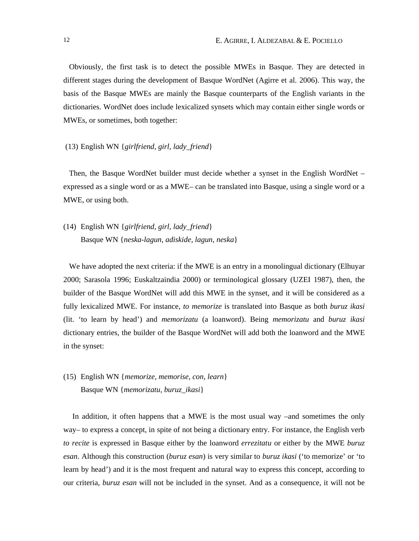Obviously, the first task is to detect the possible MWEs in Basque. They are detected in different stages during the development of Basque WordNet (Agirre et al. 2006). This way, the basis of the Basque MWEs are mainly the Basque counterparts of the English variants in the dictionaries. WordNet does include lexicalized synsets which may contain either single words or MWEs, or sometimes, both together:

#### (13) English WN {*girlfriend, girl, lady\_friend*}

Then, the Basque WordNet builder must decide whether a synset in the English WordNet – expressed as a single word or as a MWE– can be translated into Basque, using a single word or a MWE, or using both.

(14) English WN {*girlfriend, girl, lady\_friend*} Basque WN {*neska-lagun, adiskide, lagun, neska*}

We have adopted the next criteria: if the MWE is an entry in a monolingual dictionary (Elhuyar 2000; Sarasola 1996; Euskaltzaindia 2000) or terminological glossary (UZEI 1987), then, the builder of the Basque WordNet will add this MWE in the synset, and it will be considered as a fully lexicalized MWE. For instance, *to memorize* is translated into Basque as both *buruz ikasi* (lit. 'to learn by head') and *memorizatu* (a loanword). Being *memorizatu* and *buruz ikasi* dictionary entries, the builder of the Basque WordNet will add both the loanword and the MWE in the synset:

(15) English WN {*memorize, memorise, con, learn*} Basque WN {*memorizatu, buruz\_ikasi*}

In addition, it often happens that a MWE is the most usual way –and sometimes the only way– to express a concept, in spite of not being a dictionary entry. For instance, the English verb *to recite* is expressed in Basque either by the loanword *errezitatu* or either by the MWE *buruz esan*. Although this construction (*buruz esan*) is very similar to *buruz ikasi* ('to memorize' or 'to learn by head') and it is the most frequent and natural way to express this concept, according to our criteria, *buruz esan* will not be included in the synset. And as a consequence, it will not be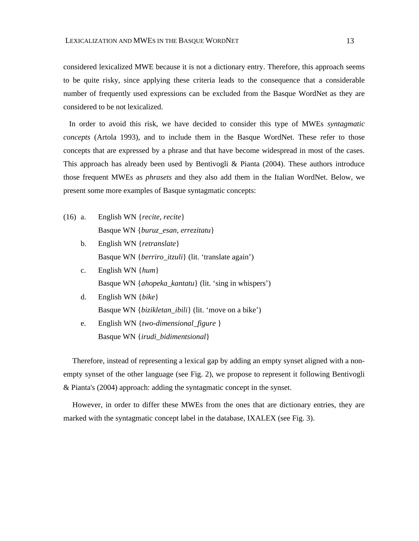considered lexicalized MWE because it is not a dictionary entry. Therefore, this approach seems to be quite risky, since applying these criteria leads to the consequence that a considerable number of frequently used expressions can be excluded from the Basque WordNet as they are considered to be not lexicalized.

In order to avoid this risk, we have decided to consider this type of MWEs *syntagmatic concepts* (Artola 1993), and to include them in the Basque WordNet. These refer to those concepts that are expressed by a phrase and that have become widespread in most of the cases. This approach has already been used by Bentivogli & Pianta (2004). These authors introduce those frequent MWEs as *phrasets* and they also add them in the Italian WordNet. Below, we present some more examples of Basque syntagmatic concepts:

- (16) a. English WN {*recite, recite*} Basque WN {*buruz\_esan, errezitatu*}
	- b. English WN {*retranslate*} Basque WN {*berriro\_itzuli*} (lit. 'translate again')
	- c. English WN {*hum*} Basque WN {*ahopeka\_kantatu*} (lit. 'sing in whispers')
	- d. English WN {*bike*} Basque WN {*bizikletan\_ibili*} (lit. 'move on a bike')
	- e. English WN {*two-dimensional\_figure* } Basque WN {*irudi\_bidimentsional*}

Therefore, instead of representing a lexical gap by adding an empty synset aligned with a nonempty synset of the other language (see Fig. 2), we propose to represent it following Bentivogli & Pianta's (2004) approach: adding the syntagmatic concept in the synset.

However, in order to differ these MWEs from the ones that are dictionary entries, they are marked with the syntagmatic concept label in the database, IXALEX (see Fig. 3).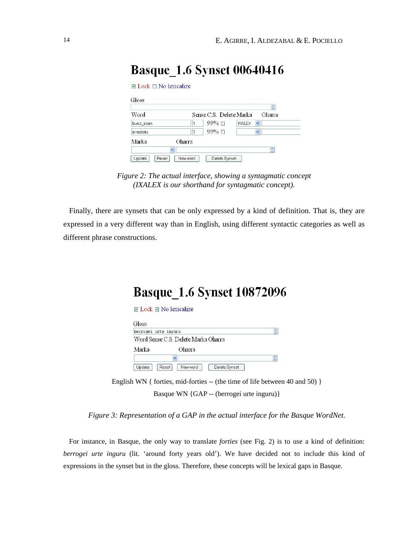| Gloss        |        |                         |                               |                                |
|--------------|--------|-------------------------|-------------------------------|--------------------------------|
| Word         |        | Sense C.S. Delete Marka |                               | $\frac{1}{\sqrt{2}}$<br>Oharra |
| buruz_esan   |        | $99\%$ $\Box$           | $\checkmark$<br><b>IXALEX</b> |                                |
| errezitatu   |        | 99% □                   | $\checkmark$                  |                                |
| Marka        | Oharra |                         |                               |                                |
| $\checkmark$ |        |                         |                               | ÷                              |

## **Basque 1.6 Synset 00640416**

*Figure 2: The actual interface, showing a syntagmatic concept (IXALEX is our shorthand for syntagmatic concept).*

Finally, there are synsets that can be only expressed by a kind of definition. That is, they are expressed in a very different way than in English, using different syntactic categories as well as different phrase constructions.

# **Basque\_1.6 Synset 10872096**

|                      | $\Box$ Lock $\Box$ No lexicalize    |                      |
|----------------------|-------------------------------------|----------------------|
| Gloss                |                                     |                      |
| berrogei urte inguru |                                     | ÷                    |
|                      | Word Sense C.S. Delete Marka Oharra |                      |
| Marka                | Oharra                              |                      |
|                      | $\checkmark$                        | $\frac{1}{\sqrt{2}}$ |
| Update               | Reset<br>New word<br>Delete Synset  |                      |

English WN { forties, mid-forties -- (the time of life between 40 and 50) } Basque WN {GAP -- (berrogei urte inguru)}

*Figure 3: Representation of a GAP in the actual interface for the Basque WordNet.*

For instance, in Basque, the only way to translate *forties* (see Fig. 2) is to use a kind of definition: *berrogei urte inguru* (lit. 'around forty years old'). We have decided not to include this kind of expressions in the synset but in the gloss. Therefore, these concepts will be lexical gaps in Basque.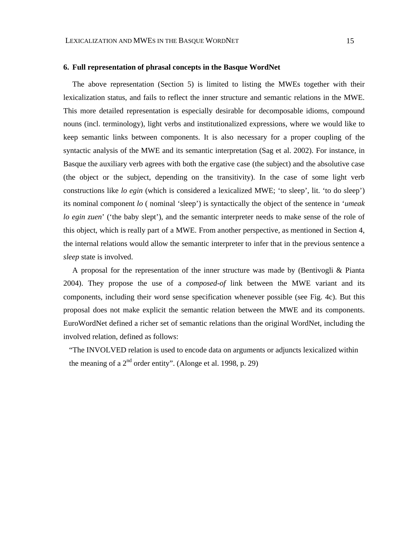#### **6. Full representation of phrasal concepts in the Basque WordNet**

The above representation (Section 5) is limited to listing the MWEs together with their lexicalization status, and fails to reflect the inner structure and semantic relations in the MWE. This more detailed representation is especially desirable for decomposable idioms, compound nouns (incl. terminology), light verbs and institutionalized expressions, where we would like to keep semantic links between components. It is also necessary for a proper coupling of the syntactic analysis of the MWE and its semantic interpretation (Sag et al. 2002). For instance, in Basque the auxiliary verb agrees with both the ergative case (the subject) and the absolutive case (the object or the subject, depending on the transitivity). In the case of some light verb constructions like *lo egin* (which is considered a lexicalized MWE; 'to sleep', lit. 'to do sleep') its nominal component *lo* ( nominal 'sleep') is syntactically the object of the sentence in '*umeak lo egin zuen*' ('the baby slept'), and the semantic interpreter needs to make sense of the role of this object, which is really part of a MWE. From another perspective, as mentioned in Section 4, the internal relations would allow the semantic interpreter to infer that in the previous sentence a *sleep* state is involved.

A proposal for the representation of the inner structure was made by (Bentivogli & Pianta 2004). They propose the use of a *composed-of* link between the MWE variant and its components, including their word sense specification whenever possible (see Fig. 4c). But this proposal does not make explicit the semantic relation between the MWE and its components. EuroWordNet defined a richer set of semantic relations than the original WordNet, including the involved relation, defined as follows:

"The INVOLVED relation is used to encode data on arguments or adjuncts lexicalized within the meaning of a  $2<sup>nd</sup>$  order entity". (Alonge et al. 1998, p. 29)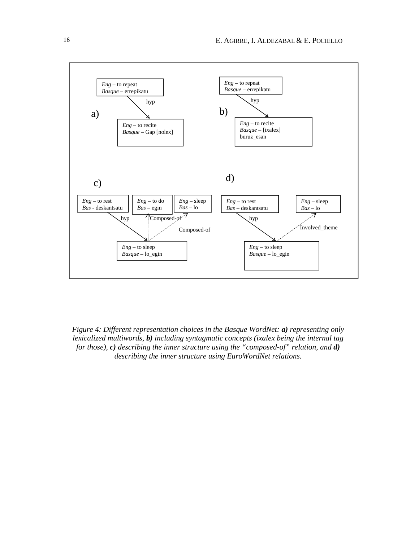

*Figure 4: Different representation choices in the Basque WordNet: a) representing only lexicalized multiwords, b) including syntagmatic concepts (ixalex being the internal tag for those), c) describing the inner structure using the "composed-of" relation, and d) describing the inner structure using EuroWordNet relations.*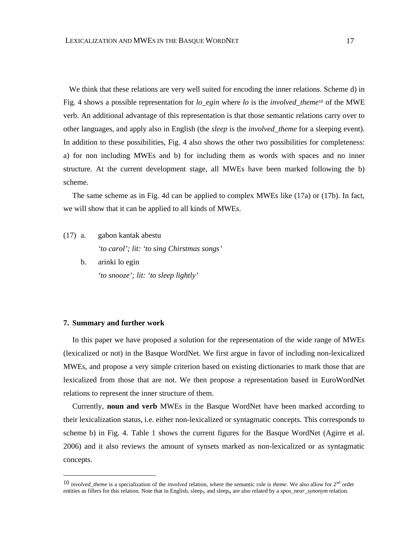We think that these relations are very well suited for encoding the inner relations. Scheme d) in Fig. 4 shows a possible representation for *lo\_egin* where *lo* is the *involved\_theme*<sup>10</sup> of the MWE verb. An additional advantage of this representation is that those semantic relations carry over to other languages, and apply also in English (the *sleep* is the *involved\_theme* for a sleeping event). In addition to these possibilities, Fig. 4 also shows the other two possibilities for completeness: a) for non including MWEs and b) for including them as words with spaces and no inner structure. At the current development stage, all MWEs have been marked following the b) scheme.

The same scheme as in Fig. 4d can be applied to complex MWEs like (17a) or (17b). In fact, we will show that it can be applied to all kinds of MWEs.

- (17) a. gabon kantak abestu *'to carol'; lit: 'to sing Chirstmas songs'*
	- b. arinki lo egin *'to snooze'; lit: 'to sleep lightly'*

#### **7. Summary and further work**

 $\overline{a}$ 

In this paper we have proposed a solution for the representation of the wide range of MWEs (lexicalized or not) in the Basque WordNet. We first argue in favor of including non-lexicalized MWEs, and propose a very simple criterion based on existing dictionaries to mark those that are lexicalized from those that are not. We then propose a representation based in EuroWordNet relations to represent the inner structure of them.

Currently, **noun and verb** MWEs in the Basque WordNet have been marked according to their lexicalization status, i.e. either non-lexicalized or syntagmatic concepts. This corresponds to scheme b) in Fig. 4. Table 1 shows the current figures for the Basque WordNet (Agirre et al. 2006) and it also reviews the amount of synsets marked as non-lexicalized or as syntagmatic concepts.

<sup>10</sup> *involved\_theme* is a specialization of the *involved* relation, where the semantic role is *theme*. We also allow for 2nd order entities as fillers for this relation. Note that in English, sleep<sub>V</sub> and sleep<sub>N</sub> are also related by a *xpos\_near\_synonym* relation.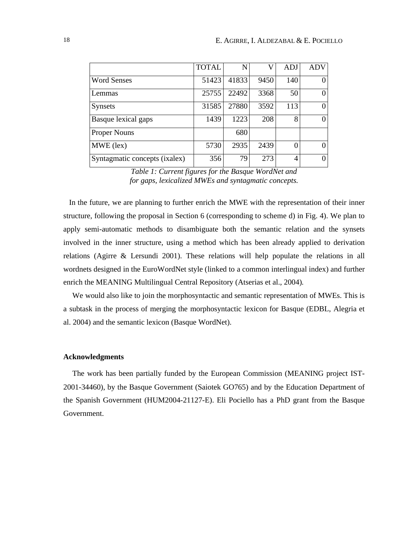|                               | <b>TOTAL</b> | N     | V    | <b>ADJ</b> | ADV      |
|-------------------------------|--------------|-------|------|------------|----------|
| <b>Word Senses</b>            | 51423        | 41833 | 9450 | 140        | 0        |
| Lemmas                        | 25755        | 22492 | 3368 | 50         | 0        |
| <b>Synsets</b>                | 31585        | 27880 | 3592 | 113        | $\theta$ |
| Basque lexical gaps           | 1439         | 1223  | 208  | 8          | 0        |
| <b>Proper Nouns</b>           |              | 680   |      |            |          |
| $MWE$ (lex)                   | 5730         | 2935  | 2439 |            | $\theta$ |
| Syntagmatic concepts (ixalex) | 356          | 79    | 273  | 4          | 0        |

*Table 1: Current figures for the Basque WordNet and for gaps, lexicalized MWEs and syntagmatic concepts.*

In the future, we are planning to further enrich the MWE with the representation of their inner structure, following the proposal in Section 6 (corresponding to scheme d) in Fig. 4). We plan to apply semi-automatic methods to disambiguate both the semantic relation and the synsets involved in the inner structure, using a method which has been already applied to derivation relations (Agirre & Lersundi 2001). These relations will help populate the relations in all wordnets designed in the EuroWordNet style (linked to a common interlingual index) and further enrich the MEANING Multilingual Central Repository (Atserias et al., 2004).

We would also like to join the morphosyntactic and semantic representation of MWEs. This is a subtask in the process of merging the morphosyntactic lexicon for Basque (EDBL, Alegria et al. 2004) and the semantic lexicon (Basque WordNet).

#### **Acknowledgments**

The work has been partially funded by the European Commission (MEANING project IST-2001-34460), by the Basque Government (Saiotek GO765) and by the Education Department of the Spanish Government (HUM2004-21127-E). Eli Pociello has a PhD grant from the Basque Government.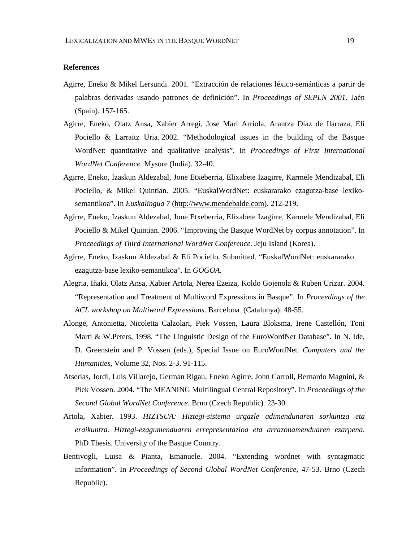### **References**

- Agirre, Eneko & Mikel Lersundi. 2001. "Extracción de relaciones léxico-semánticas a partir de palabras derivadas usando patrones de definición". In *Proceedings of SEPLN 2001*. Jaén (Spain). 157-165.
- Agirre, Eneko, Olatz Ansa, Xabier Arregi, Jose Mari Arriola, Arantza Díaz de Ilarraza, Eli Pociello & Larraitz Uria. 2002. "Methodological issues in the building of the Basque WordNet: quantitative and qualitative analysis". In *Proceedings of First International WordNet Conference.* Mysore (India). 32-40.
- Agirre, Eneko, Izaskun Aldezabal, Jone Etxeberria, Elixabete Izagirre, Karmele Mendizabal, Eli Pociello, & Mikel Quintian. 2005. "EuskalWordNet: euskararako ezagutza-base lexikosemantikoa". In *Euskalingua 7* (http://www.mendebalde.com). 212-219.
- Agirre, Eneko, Izaskun Aldezabal, Jone Etxeberria, Elixabete Izagirre, Karmele Mendizabal, Eli Pociello & Mikel Quintian. 2006. "Improving the Basque WordNet by corpus annotation". In *Proceedings of Third International WordNet Conference*. Jeju Island (Korea).
- Agirre, Eneko, Izaskun Aldezabal & Eli Pociello. Submitted. "EuskalWordNet: euskararako ezagutza-base lexiko-semantikoa". In *GOGOA*.
- Alegria, Iñaki, Olatz Ansa, Xabier Artola, Nerea Ezeiza, Koldo Gojenola & Ruben Urizar. 2004. "Representation and Treatment of Multiword Expressions in Basque". In *Proceedings of the ACL workshop on Multiword Expressions*. Barcelona (Catalunya). 48-55.
- Alonge, Antonietta, Nicoletta Calzolari, Piek Vossen, Laura Bloksma, Irene Castellón, Toni Marti & W.Peters, 1998. "The Linguistic Design of the EuroWordNet Database". In N. Ide, D. Greenstein and P. Vossen (eds.), Special Issue on EuroWordNet. *Computers and the Humanities*, Volume 32, Nos. 2-3. 91-115.
- Atserias, Jordi, Luis Villarejo, German Rigau, Eneko Agirre, John Carroll, Bernardo Magnini, & Piek Vossen. 2004. "The MEANING Multilingual Central Repository"*.* In *Proceedings of the Second Global WordNet Conference.* Brno (Czech Republic). 23-30.
- Artola, Xabier. 1993. *HIZTSUA: Hiztegi-sistema urgazle adimendunaren sorkuntza eta eraikuntza. Hiztegi-ezagumenduaren errepresentazioa eta arrazonamenduaren ezarpena.* PhD Thesis. University of the Basque Country.
- Bentivogli, Luisa & Pianta, Emanuele. 2004. "Extending wordnet with syntagmatic information". In *Proceedings of Second Global WordNet Conference*, 47-53. Brno (Czech Republic).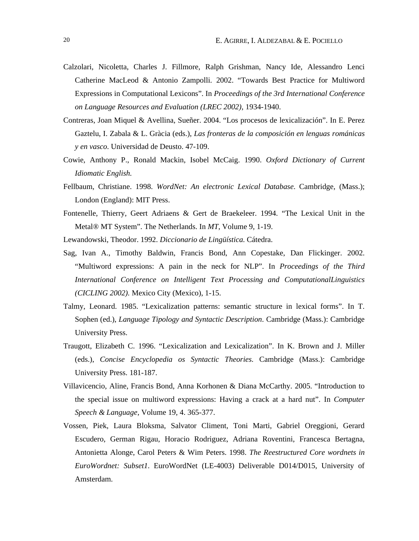- Calzolari, Nicoletta, Charles J. Fillmore, Ralph Grishman, Nancy Ide, Alessandro Lenci Catherine MacLeod & Antonio Zampolli. 2002. "Towards Best Practice for Multiword Expressions in Computational Lexicons". In *Proceedings of the 3rd International Conference on Language Resources and Evaluation (LREC 2002)*, 1934-1940.
- Contreras, Joan Miquel & Avellina, Sueñer. 2004. "Los procesos de lexicalización". In E. Perez Gaztelu, I. Zabala & L. Gràcia (eds.), *Las fronteras de la composición en lenguas románicas y en vasco*. Universidad de Deusto. 47-109.
- Cowie, Anthony P., Ronald Mackin, Isobel McCaig. 1990. *Oxford Dictionary of Current Idiomatic English.*
- Fellbaum, Christiane. 1998. *WordNet: An electronic Lexical Database*. Cambridge, (Mass.); London (England): MIT Press.
- Fontenelle, Thierry, Geert Adriaens & Gert de Braekeleer. 1994. "The Lexical Unit in the Metal® MT System". The Netherlands. In *MT*, Volume 9, 1-19.
- Lewandowski, Theodor. 1992. *Diccionario de Lingüística*. Cátedra.
- Sag, Ivan A., Timothy Baldwin, Francis Bond, Ann Copestake, Dan Flickinger. 2002. "Multiword expressions: A pain in the neck for NLP". In *Proceedings of the Third International Conference on Intelligent Text Processing and ComputationalLinguistics (CICLING 2002)*. Mexico City (Mexico), 1-15.
- Talmy, Leonard. 1985. "Lexicalization patterns: semantic structure in lexical forms". In T. Sophen (ed.), *Language Tipology and Syntactic Description*. Cambridge (Mass.): Cambridge University Press.
- Traugott, Elizabeth C. 1996. "Lexicalization and Lexicalization". In K. Brown and J. Miller (eds.), *Concise Encyclopedia os Syntactic Theories*. Cambridge (Mass.): Cambridge University Press. 181-187.
- Villavicencio, Aline, Francis Bond, Anna Korhonen & Diana McCarthy. 2005. "Introduction to the special issue on multiword expressions: Having a crack at a hard nut". In *Computer Speech & Language*, Volume 19, 4. 365-377.
- Vossen, Piek, Laura Bloksma, Salvator Climent, Toni Marti, Gabriel Oreggioni, Gerard Escudero, German Rigau, Horacio Rodriguez, Adriana Roventini, Francesca Bertagna, Antonietta Alonge, Carol Peters & Wim Peters. 1998. *The Reestructured Core wordnets in EuroWordnet: Subset1*. EuroWordNet (LE-4003) Deliverable D014/D015, University of Amsterdam.